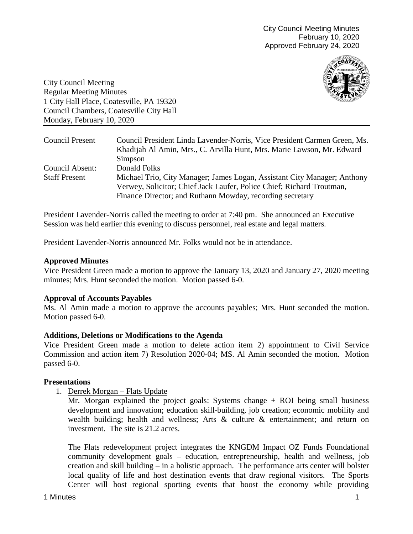City Council Meeting Minutes February 10, 2020 Approved February 24, 2020



City Council Meeting Regular Meeting Minutes 1 City Hall Place, Coatesville, PA 19320 Council Chambers, Coatesville City Hall Monday, February 10, 2020

| Council Present      | Council President Linda Lavender-Norris, Vice President Carmen Green, Ms. |
|----------------------|---------------------------------------------------------------------------|
|                      | Khadijah Al Amin, Mrs., C. Arvilla Hunt, Mrs. Marie Lawson, Mr. Edward    |
|                      | Simpson                                                                   |
| Council Absent:      | Donald Folks                                                              |
| <b>Staff Present</b> | Michael Trio, City Manager; James Logan, Assistant City Manager; Anthony  |
|                      | Verwey, Solicitor; Chief Jack Laufer, Police Chief; Richard Troutman,     |
|                      | Finance Director; and Ruthann Mowday, recording secretary                 |

President Lavender-Norris called the meeting to order at 7:40 pm. She announced an Executive Session was held earlier this evening to discuss personnel, real estate and legal matters.

President Lavender-Norris announced Mr. Folks would not be in attendance.

### **Approved Minutes**

Vice President Green made a motion to approve the January 13, 2020 and January 27, 2020 meeting minutes; Mrs. Hunt seconded the motion. Motion passed 6-0.

### **Approval of Accounts Payables**

Ms. Al Amin made a motion to approve the accounts payables; Mrs. Hunt seconded the motion. Motion passed 6-0.

### **Additions, Deletions or Modifications to the Agenda**

Vice President Green made a motion to delete action item 2) appointment to Civil Service Commission and action item 7) Resolution 2020-04; MS. Al Amin seconded the motion. Motion passed 6-0.

### **Presentations**

1. Derrek Morgan – Flats Update

Mr. Morgan explained the project goals: Systems change + ROI being small business development and innovation; education skill-building, job creation; economic mobility and wealth building; health and wellness; Arts & culture & entertainment; and return on investment. The site is 21.2 acres.

The Flats redevelopment project integrates the KNGDM Impact OZ Funds Foundational community development goals – education, entrepreneurship, health and wellness, job creation and skill building – in a holistic approach. The performance arts center will bolster local quality of life and host destination events that draw regional visitors. The Sports Center will host regional sporting events that boost the economy while providing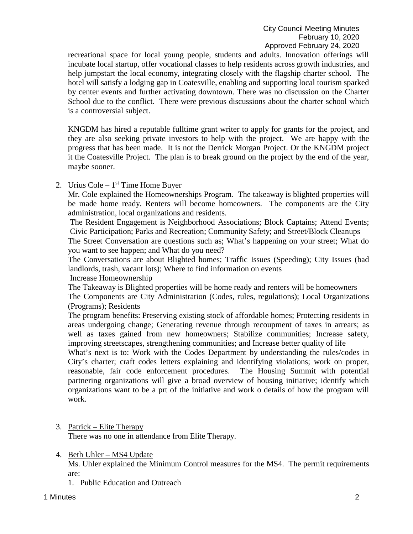recreational space for local young people, students and adults. Innovation offerings will incubate local startup, offer vocational classes to help residents across growth industries, and help jumpstart the local economy, integrating closely with the flagship charter school. The hotel will satisfy a lodging gap in Coatesville, enabling and supporting local tourism sparked by center events and further activating downtown. There was no discussion on the Charter School due to the conflict. There were previous discussions about the charter school which is a controversial subject.

KNGDM has hired a reputable fulltime grant writer to apply for grants for the project, and they are also seeking private investors to help with the project. We are happy with the progress that has been made. It is not the Derrick Morgan Project. Or the KNGDM project it the Coatesville Project. The plan is to break ground on the project by the end of the year, maybe sooner.

## 2. Urius Cole –  $1<sup>st</sup>$  Time Home Buyer

Mr. Cole explained the Homeownerships Program. The takeaway is blighted properties will be made home ready. Renters will become homeowners. The components are the City administration, local organizations and residents.

The Resident Engagement is Neighborhood Associations; Block Captains; Attend Events; Civic Participation; Parks and Recreation; Community Safety; and Street/Block Cleanups

The Street Conversation are questions such as; What's happening on your street; What do you want to see happen; and What do you need?

The Conversations are about Blighted homes; Traffic Issues (Speeding); City Issues (bad landlords, trash, vacant lots); Where to find information on events

Increase Homeownership

The Takeaway is Blighted properties will be home ready and renters will be homeowners The Components are City Administration (Codes, rules, regulations); Local Organizations (Programs); Residents

The program benefits: Preserving existing stock of affordable homes; Protecting residents in areas undergoing change; Generating revenue through recoupment of taxes in arrears; as well as taxes gained from new homeowners; Stabilize communities; Increase safety, improving streetscapes, strengthening communities; and Increase better quality of life

What's next is to: Work with the Codes Department by understanding the rules/codes in City's charter; craft codes letters explaining and identifying violations; work on proper, reasonable, fair code enforcement procedures. The Housing Summit with potential partnering organizations will give a broad overview of housing initiative; identify which organizations want to be a prt of the initiative and work o details of how the program will work.

3. Patrick – Elite Therapy

There was no one in attendance from Elite Therapy.

4. Beth Uhler – MS4 Update

Ms. Uhler explained the Minimum Control measures for the MS4. The permit requirements are:

1. Public Education and Outreach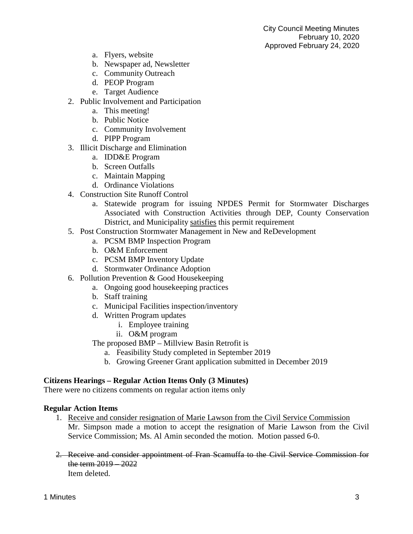- a. Flyers, website
- b. Newspaper ad, Newsletter
- c. Community Outreach
- d. PEOP Program
- e. Target Audience
- 2. Public Involvement and Participation
	- a. This meeting!
	- b. Public Notice
	- c. Community Involvement
	- d. PIPP Program
- 3. Illicit Discharge and Elimination
	- a. IDD&E Program
	- b. Screen Outfalls
	- c. Maintain Mapping
	- d. Ordinance Violations
- 4. Construction Site Runoff Control
	- a. Statewide program for issuing NPDES Permit for Stormwater Discharges Associated with Construction Activities through DEP, County Conservation District, and Municipality satisfies this permit requirement
- 5. Post Construction Stormwater Management in New and ReDevelopment
	- a. PCSM BMP Inspection Program
	- b. O&M Enforcement
	- c. PCSM BMP Inventory Update
	- d. Stormwater Ordinance Adoption
- 6. Pollution Prevention & Good Housekeeping
	- a. Ongoing good housekeeping practices
	- b. Staff training
	- c. Municipal Facilities inspection/inventory
	- d. Written Program updates
		- i. Employee training
		- ii. O&M program
	- The proposed BMP Millview Basin Retrofit is
		- a. Feasibility Study completed in September 2019
		- b. Growing Greener Grant application submitted in December 2019

### **Citizens Hearings – Regular Action Items Only (3 Minutes)**

There were no citizens comments on regular action items only

### **Regular Action Items**

- 1. Receive and consider resignation of Marie Lawson from the Civil Service Commission Mr. Simpson made a motion to accept the resignation of Marie Lawson from the Civil Service Commission; Ms. Al Amin seconded the motion. Motion passed 6-0.
- 2. Receive and consider appointment of Fran Scamuffa to the Civil Service Commission for the term 2019 – 2022 Item deleted.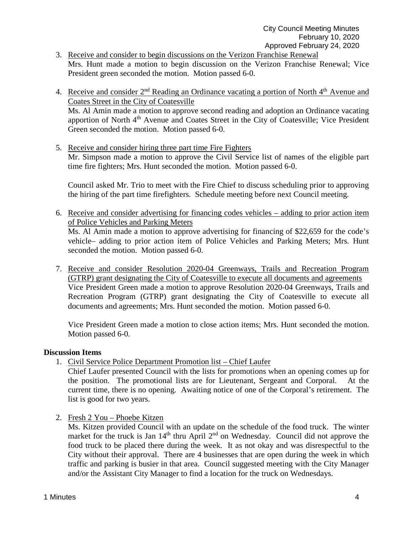- 3. Receive and consider to begin discussions on the Verizon Franchise Renewal Mrs. Hunt made a motion to begin discussion on the Verizon Franchise Renewal; Vice President green seconded the motion. Motion passed 6-0.
- 4. Receive and consider  $2<sup>nd</sup>$  Reading an Ordinance vacating a portion of North  $4<sup>th</sup>$  Avenue and Coates Street in the City of Coatesville Ms. Al Amin made a motion to approve second reading and adoption an Ordinance vacating apportion of North 4<sup>th</sup> Avenue and Coates Street in the City of Coatesville; Vice President Green seconded the motion. Motion passed 6-0.
- 5. Receive and consider hiring three part time Fire Fighters Mr. Simpson made a motion to approve the Civil Service list of names of the eligible part time fire fighters; Mrs. Hunt seconded the motion. Motion passed 6-0.

Council asked Mr. Trio to meet with the Fire Chief to discuss scheduling prior to approving the hiring of the part time firefighters. Schedule meeting before next Council meeting.

- 6. Receive and consider advertising for financing codes vehicles adding to prior action item of Police Vehicles and Parking Meters Ms. Al Amin made a motion to approve advertising for financing of \$22,659 for the code's vehicle– adding to prior action item of Police Vehicles and Parking Meters; Mrs. Hunt seconded the motion. Motion passed 6-0.
- 7. Receive and consider Resolution 2020-04 Greenways, Trails and Recreation Program (GTRP) grant designating the City of Coatesville to execute all documents and agreements Vice President Green made a motion to approve Resolution 2020-04 Greenways, Trails and Recreation Program (GTRP) grant designating the City of Coatesville to execute all documents and agreements; Mrs. Hunt seconded the motion. Motion passed 6-0.

Vice President Green made a motion to close action items; Mrs. Hunt seconded the motion. Motion passed 6-0.

### **Discussion Items**

1. Civil Service Police Department Promotion list – Chief Laufer

Chief Laufer presented Council with the lists for promotions when an opening comes up for the position. The promotional lists are for Lieutenant, Sergeant and Corporal. At the current time, there is no opening. Awaiting notice of one of the Corporal's retirement. The list is good for two years.

2. Fresh 2 You – Phoebe Kitzen

Ms. Kitzen provided Council with an update on the schedule of the food truck. The winter market for the truck is Jan 14<sup>th</sup> thru April 2<sup>nd</sup> on Wednesday. Council did not approve the food truck to be placed there during the week. It as not okay and was disrespectful to the City without their approval. There are 4 businesses that are open during the week in which traffic and parking is busier in that area. Council suggested meeting with the City Manager and/or the Assistant City Manager to find a location for the truck on Wednesdays.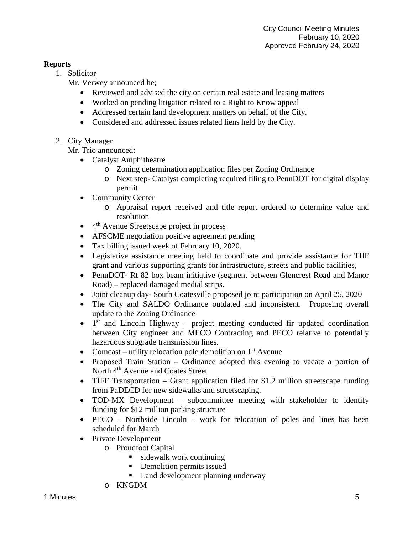# **Reports**

1. Solicitor

Mr. Verwey announced he;

- Reviewed and advised the city on certain real estate and leasing matters
- Worked on pending litigation related to a Right to Know appeal
- Addressed certain land development matters on behalf of the City.
- Considered and addressed issues related liens held by the City.
- 2. City Manager

Mr. Trio announced:

- Catalyst Amphitheatre
	- o Zoning determination application files per Zoning Ordinance
	- o Next step- Catalyst completing required filing to PennDOT for digital display permit
- Community Center
	- o Appraisal report received and title report ordered to determine value and resolution
- $\bullet$  4<sup>th</sup> Avenue Streetscape project in process
- AFSCME negotiation positive agreement pending
- Tax billing issued week of February 10, 2020.
- Legislative assistance meeting held to coordinate and provide assistance for TIIF grant and various supporting grants for infrastructure, streets and public facilities,
- PennDOT- Rt 82 box beam initiative (segment between Glencrest Road and Manor Road) – replaced damaged medial strips.
- Joint cleanup day- South Coatesville proposed joint participation on April 25, 2020
- The City and SALDO Ordinance outdated and inconsistent. Proposing overall update to the Zoning Ordinance
- $\bullet$  1<sup>st</sup> and Lincoln Highway project meeting conducted fir updated coordination between City engineer and MECO Contracting and PECO relative to potentially hazardous subgrade transmission lines.
- Comcast utility relocation pole demolition on  $1<sup>st</sup>$  Avenue
- Proposed Train Station Ordinance adopted this evening to vacate a portion of North 4<sup>th</sup> Avenue and Coates Street
- TIFF Transportation Grant application filed for \$1.2 million streetscape funding from PaDECD for new sidewalks and streetscaping.
- TOD-MX Development subcommittee meeting with stakeholder to identify funding for \$12 million parking structure
- PECO Northside Lincoln work for relocation of poles and lines has been scheduled for March
- Private Development
	- o Proudfoot Capital
		- sidewalk work continuing
		- **•** Demolition permits issued
		- Land development planning underway
	- o KNGDM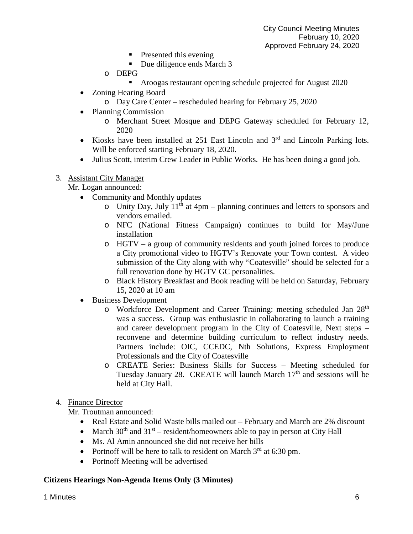- $\blacksquare$  Presented this evening
- Due diligence ends March 3
- o DEPG
	- Aroogas restaurant opening schedule projected for August 2020
- Zoning Hearing Board
	- o Day Care Center rescheduled hearing for February 25, 2020
- Planning Commission
	- o Merchant Street Mosque and DEPG Gateway scheduled for February 12, 2020
- Kiosks have been installed at 251 East Lincoln and 3<sup>rd</sup> and Lincoln Parking lots. Will be enforced starting February 18, 2020.
- Julius Scott, interim Crew Leader in Public Works. He has been doing a good job.
- 3. Assistant City Manager

Mr. Logan announced:

- Community and Monthly updates
	- $\circ$  Unity Day, July 11<sup>th</sup> at 4pm planning continues and letters to sponsors and vendors emailed.
	- o NFC (National Fitness Campaign) continues to build for May/June installation
	- o HGTV a group of community residents and youth joined forces to produce a City promotional video to HGTV's Renovate your Town contest. A video submission of the City along with why "Coatesville" should be selected for a full renovation done by HGTV GC personalities.
	- o Black History Breakfast and Book reading will be held on Saturday, February 15, 2020 at 10 am
- Business Development
	- o Workforce Development and Career Training: meeting scheduled Jan 28th was a success. Group was enthusiastic in collaborating to launch a training and career development program in the City of Coatesville, Next steps – reconvene and determine building curriculum to reflect industry needs. Partners include: OIC, CCEDC, Nth Solutions, Express Employment Professionals and the City of Coatesville
	- o CREATE Series: Business Skills for Success Meeting scheduled for Tuesday January 28. CREATE will launch March 17<sup>th</sup> and sessions will be held at City Hall.

# 4. Finance Director

Mr. Troutman announced:

- Real Estate and Solid Waste bills mailed out February and March are 2% discount
- March  $30<sup>th</sup>$  and  $31<sup>st</sup>$  resident/homeowners able to pay in person at City Hall
- Ms. Al Amin announced she did not receive her bills
- Portnoff will be here to talk to resident on March  $3<sup>rd</sup>$  at 6:30 pm.
- Portnoff Meeting will be advertised

### **Citizens Hearings Non-Agenda Items Only (3 Minutes)**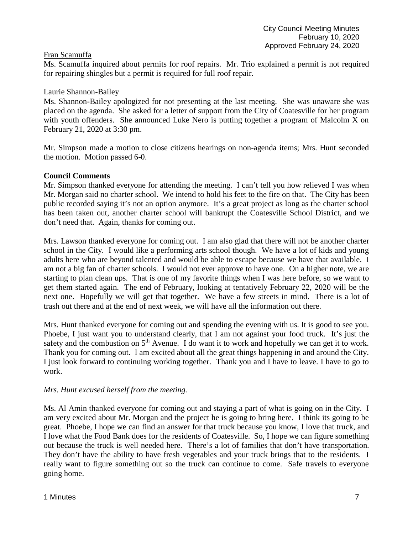## Fran Scamuffa

Ms. Scamuffa inquired about permits for roof repairs. Mr. Trio explained a permit is not required for repairing shingles but a permit is required for full roof repair.

## Laurie Shannon-Bailey

Ms. Shannon-Bailey apologized for not presenting at the last meeting. She was unaware she was placed on the agenda. She asked for a letter of support from the City of Coatesville for her program with youth offenders. She announced Luke Nero is putting together a program of Malcolm X on February 21, 2020 at 3:30 pm.

Mr. Simpson made a motion to close citizens hearings on non-agenda items; Mrs. Hunt seconded the motion. Motion passed 6-0.

## **Council Comments**

Mr. Simpson thanked everyone for attending the meeting. I can't tell you how relieved I was when Mr. Morgan said no charter school. We intend to hold his feet to the fire on that. The City has been public recorded saying it's not an option anymore. It's a great project as long as the charter school has been taken out, another charter school will bankrupt the Coatesville School District, and we don't need that. Again, thanks for coming out.

Mrs. Lawson thanked everyone for coming out. I am also glad that there will not be another charter school in the City. I would like a performing arts school though. We have a lot of kids and young adults here who are beyond talented and would be able to escape because we have that available. I am not a big fan of charter schools. I would not ever approve to have one. On a higher note, we are starting to plan clean ups. That is one of my favorite things when I was here before, so we want to get them started again. The end of February, looking at tentatively February 22, 2020 will be the next one. Hopefully we will get that together. We have a few streets in mind. There is a lot of trash out there and at the end of next week, we will have all the information out there.

Mrs. Hunt thanked everyone for coming out and spending the evening with us. It is good to see you. Phoebe, I just want you to understand clearly, that I am not against your food truck. It's just the safety and the combustion on  $5<sup>th</sup>$  Avenue. I do want it to work and hopefully we can get it to work. Thank you for coming out. I am excited about all the great things happening in and around the City. I just look forward to continuing working together. Thank you and I have to leave. I have to go to work.

# *Mrs. Hunt excused herself from the meeting.*

Ms. Al Amin thanked everyone for coming out and staying a part of what is going on in the City. I am very excited about Mr. Morgan and the project he is going to bring here. I think its going to be great. Phoebe, I hope we can find an answer for that truck because you know, I love that truck, and I love what the Food Bank does for the residents of Coatesville. So, I hope we can figure something out because the truck is well needed here. There's a lot of families that don't have transportation. They don't have the ability to have fresh vegetables and your truck brings that to the residents. I really want to figure something out so the truck can continue to come. Safe travels to everyone going home.